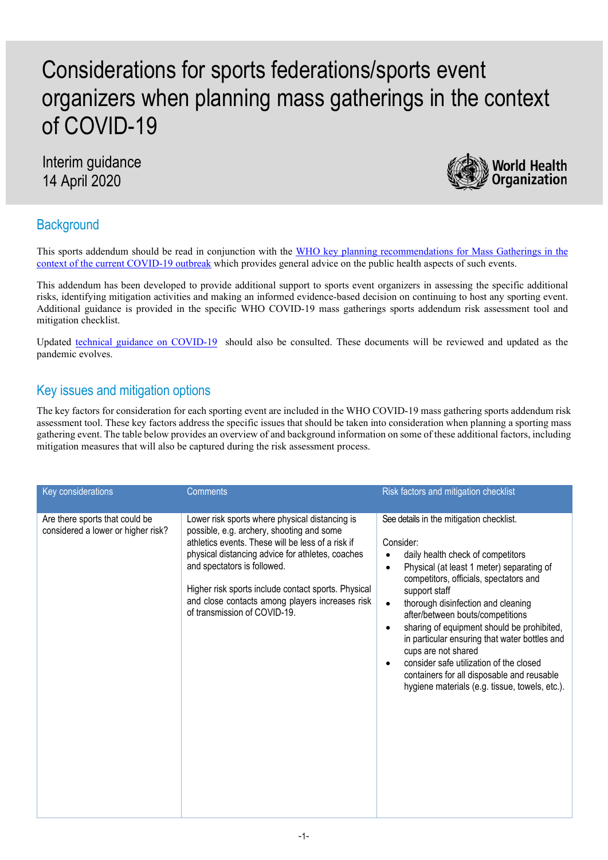## Considerations for sports federations/sports event organizers when planning mass gatherings in the context of COVID-19

Interim guidance 14 April 2020



## **Background**

This sports addendum should be read in conjunction with the WHO key planning recommendations for Mass Gatherings in the [context of the current COVID-19 outbreak](https://www.who.int/publications-detail/key-planning-recommendations-for-mass-gatherings-in-the-context-of-the-current-covid-19-outbreak) which provides general advice on the public health aspects of such events.

This addendum has been developed to provide additional support to sports event organizers in assessing the specific additional risks, identifying mitigation activities and making an informed evidence-based decision on continuing to host any sporting event. Additional guidance is provided in the specific WHO COVID-19 mass gatherings sports addendum risk assessment tool and mitigation checklist.

Updated [technical guidance on COVID-19](https://www.who.int/emergencies/diseases/novel-coronavirus-2019/technical-guidance) should also be consulted. These documents will be reviewed and updated as the pandemic evolves.

## Key issues and mitigation options

The key factors for consideration for each sporting event are included in the WHO COVID-19 mass gathering sports addendum risk assessment tool. These key factors address the specific issues that should be taken into consideration when planning a sporting mass gathering event. The table below provides an overview of and background information on some of these additional factors, including mitigation measures that will also be captured during the risk assessment process.

| Key considerations                                                   | <b>Comments</b>                                                                                                                                                                                                                                                                                                                                                               | Risk factors and mitigation checklist                                                                                                                                                                                                                                                                                                                                                                                                                                                                                                                      |
|----------------------------------------------------------------------|-------------------------------------------------------------------------------------------------------------------------------------------------------------------------------------------------------------------------------------------------------------------------------------------------------------------------------------------------------------------------------|------------------------------------------------------------------------------------------------------------------------------------------------------------------------------------------------------------------------------------------------------------------------------------------------------------------------------------------------------------------------------------------------------------------------------------------------------------------------------------------------------------------------------------------------------------|
| Are there sports that could be<br>considered a lower or higher risk? | Lower risk sports where physical distancing is<br>possible, e.g. archery, shooting and some<br>athletics events. These will be less of a risk if<br>physical distancing advice for athletes, coaches<br>and spectators is followed.<br>Higher risk sports include contact sports. Physical<br>and close contacts among players increases risk<br>of transmission of COVID-19. | See details in the mitigation checklist.<br>Consider:<br>daily health check of competitors<br>Physical (at least 1 meter) separating of<br>competitors, officials, spectators and<br>support staff<br>thorough disinfection and cleaning<br>$\bullet$<br>after/between bouts/competitions<br>sharing of equipment should be prohibited,<br>in particular ensuring that water bottles and<br>cups are not shared<br>consider safe utilization of the closed<br>containers for all disposable and reusable<br>hygiene materials (e.g. tissue, towels, etc.). |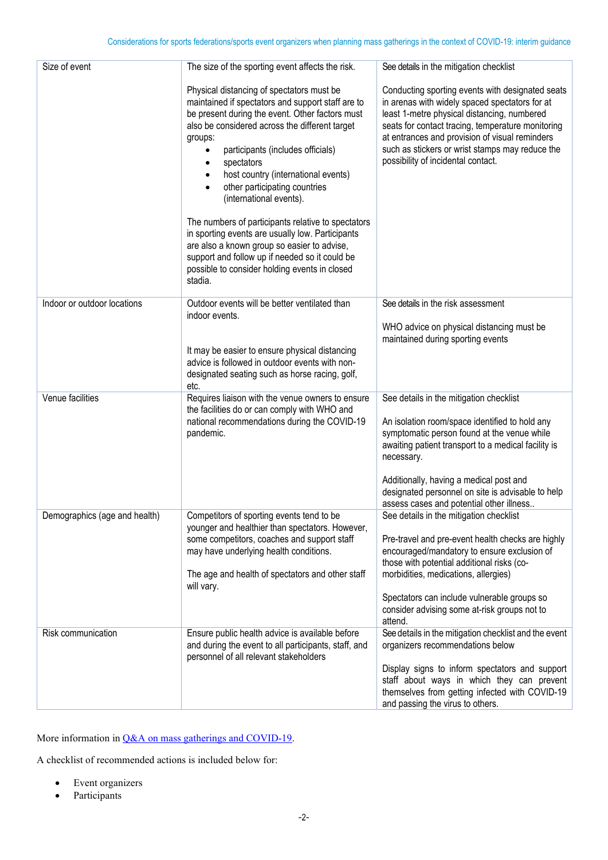| Size of event                 | The size of the sporting event affects the risk.                                                                                                                                                                                                                                                                                                                                                                                        | See details in the mitigation checklist                                                                                                                                                                                                                                                                                                           |
|-------------------------------|-----------------------------------------------------------------------------------------------------------------------------------------------------------------------------------------------------------------------------------------------------------------------------------------------------------------------------------------------------------------------------------------------------------------------------------------|---------------------------------------------------------------------------------------------------------------------------------------------------------------------------------------------------------------------------------------------------------------------------------------------------------------------------------------------------|
|                               | Physical distancing of spectators must be<br>maintained if spectators and support staff are to<br>be present during the event. Other factors must<br>also be considered across the different target<br>groups:<br>participants (includes officials)<br>spectators<br>$\bullet$<br>host country (international events)<br>other participating countries<br>(international events).<br>The numbers of participants relative to spectators | Conducting sporting events with designated seats<br>in arenas with widely spaced spectators for at<br>least 1-metre physical distancing, numbered<br>seats for contact tracing, temperature monitoring<br>at entrances and provision of visual reminders<br>such as stickers or wrist stamps may reduce the<br>possibility of incidental contact. |
|                               | in sporting events are usually low. Participants<br>are also a known group so easier to advise,<br>support and follow up if needed so it could be<br>possible to consider holding events in closed<br>stadia.                                                                                                                                                                                                                           |                                                                                                                                                                                                                                                                                                                                                   |
| Indoor or outdoor locations   | Outdoor events will be better ventilated than<br>indoor events.                                                                                                                                                                                                                                                                                                                                                                         | See details in the risk assessment<br>WHO advice on physical distancing must be<br>maintained during sporting events                                                                                                                                                                                                                              |
|                               | It may be easier to ensure physical distancing<br>advice is followed in outdoor events with non-<br>designated seating such as horse racing, golf,<br>etc.                                                                                                                                                                                                                                                                              |                                                                                                                                                                                                                                                                                                                                                   |
| Venue facilities              | Requires liaison with the venue owners to ensure<br>the facilities do or can comply with WHO and<br>national recommendations during the COVID-19<br>pandemic.                                                                                                                                                                                                                                                                           | See details in the mitigation checklist<br>An isolation room/space identified to hold any<br>symptomatic person found at the venue while<br>awaiting patient transport to a medical facility is<br>necessary.                                                                                                                                     |
|                               |                                                                                                                                                                                                                                                                                                                                                                                                                                         | Additionally, having a medical post and<br>designated personnel on site is advisable to help<br>assess cases and potential other illness                                                                                                                                                                                                          |
| Demographics (age and health) | Competitors of sporting events tend to be<br>younger and healthier than spectators. However,<br>some competitors, coaches and support staff<br>may have underlying health conditions.                                                                                                                                                                                                                                                   | See details in the mitigation checklist<br>Pre-travel and pre-event health checks are highly<br>encouraged/mandatory to ensure exclusion of<br>those with potential additional risks (co-                                                                                                                                                         |
|                               | The age and health of spectators and other staff<br>will vary.                                                                                                                                                                                                                                                                                                                                                                          | morbidities, medications, allergies)<br>Spectators can include vulnerable groups so<br>consider advising some at-risk groups not to                                                                                                                                                                                                               |
| Risk communication            | Ensure public health advice is available before<br>and during the event to all participants, staff, and<br>personnel of all relevant stakeholders                                                                                                                                                                                                                                                                                       | attend.<br>See details in the mitigation checklist and the event<br>organizers recommendations below                                                                                                                                                                                                                                              |
|                               |                                                                                                                                                                                                                                                                                                                                                                                                                                         | Display signs to inform spectators and support<br>staff about ways in which they can prevent<br>themselves from getting infected with COVID-19<br>and passing the virus to others.                                                                                                                                                                |

More information in [Q&A on mass gatherings and COVID-19.](https://www.who.int/news-room/q-a-detail/q-a-on-mass-gatherings-and-covid-19)

A checklist of recommended actions is included below for:

- Event organizers
- Participants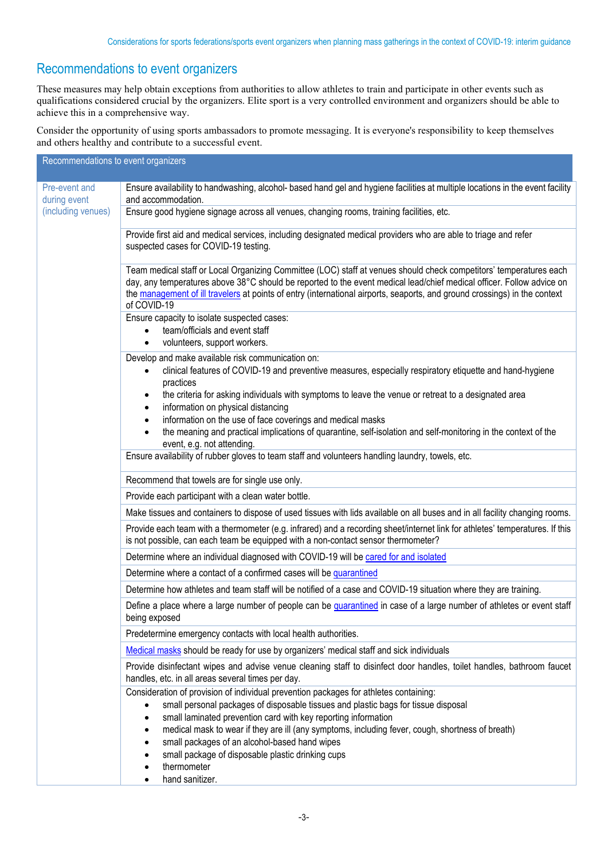## Recommendations to event organizers

These measures may help obtain exceptions from authorities to allow athletes to train and participate in other events such as qualifications considered crucial by the organizers. Elite sport is a very controlled environment and organizers should be able to achieve this in a comprehensive way.

Consider the opportunity of using sports ambassadors to promote messaging. It is everyone's responsibility to keep themselves and others healthy and contribute to a successful event.

| Recommendations to event organizers                 |                                                                                                                                                                                                                                                                                                                                                                                                                                                                                           |
|-----------------------------------------------------|-------------------------------------------------------------------------------------------------------------------------------------------------------------------------------------------------------------------------------------------------------------------------------------------------------------------------------------------------------------------------------------------------------------------------------------------------------------------------------------------|
|                                                     |                                                                                                                                                                                                                                                                                                                                                                                                                                                                                           |
| Pre-event and<br>during event<br>(including venues) | Ensure availability to handwashing, alcohol- based hand gel and hygiene facilities at multiple locations in the event facility<br>and accommodation.                                                                                                                                                                                                                                                                                                                                      |
|                                                     | Ensure good hygiene signage across all venues, changing rooms, training facilities, etc.                                                                                                                                                                                                                                                                                                                                                                                                  |
|                                                     | Provide first aid and medical services, including designated medical providers who are able to triage and refer<br>suspected cases for COVID-19 testing.                                                                                                                                                                                                                                                                                                                                  |
|                                                     | Team medical staff or Local Organizing Committee (LOC) staff at venues should check competitors' temperatures each<br>day, any temperatures above 38°C should be reported to the event medical lead/chief medical officer. Follow advice on<br>the management of ill travelers at points of entry (international airports, seaports, and ground crossings) in the context<br>of COVID-19                                                                                                  |
|                                                     | Ensure capacity to isolate suspected cases:<br>team/officials and event staff<br>volunteers, support workers.                                                                                                                                                                                                                                                                                                                                                                             |
|                                                     | Develop and make available risk communication on:<br>clinical features of COVID-19 and preventive measures, especially respiratory etiquette and hand-hygiene<br>$\bullet$<br>practices                                                                                                                                                                                                                                                                                                   |
|                                                     | the criteria for asking individuals with symptoms to leave the venue or retreat to a designated area<br>information on physical distancing<br>information on the use of face coverings and medical masks                                                                                                                                                                                                                                                                                  |
|                                                     | the meaning and practical implications of quarantine, self-isolation and self-monitoring in the context of the<br>event, e.g. not attending.                                                                                                                                                                                                                                                                                                                                              |
|                                                     | Ensure availability of rubber gloves to team staff and volunteers handling laundry, towels, etc.                                                                                                                                                                                                                                                                                                                                                                                          |
|                                                     | Recommend that towels are for single use only.                                                                                                                                                                                                                                                                                                                                                                                                                                            |
|                                                     | Provide each participant with a clean water bottle.                                                                                                                                                                                                                                                                                                                                                                                                                                       |
|                                                     | Make tissues and containers to dispose of used tissues with lids available on all buses and in all facility changing rooms.                                                                                                                                                                                                                                                                                                                                                               |
|                                                     | Provide each team with a thermometer (e.g. infrared) and a recording sheet/internet link for athletes' temperatures. If this<br>is not possible, can each team be equipped with a non-contact sensor thermometer?                                                                                                                                                                                                                                                                         |
|                                                     | Determine where an individual diagnosed with COVID-19 will be cared for and isolated                                                                                                                                                                                                                                                                                                                                                                                                      |
|                                                     | Determine where a contact of a confirmed cases will be quarantined                                                                                                                                                                                                                                                                                                                                                                                                                        |
|                                                     | Determine how athletes and team staff will be notified of a case and COVID-19 situation where they are training.                                                                                                                                                                                                                                                                                                                                                                          |
|                                                     | Define a place where a large number of people can be quarantined in case of a large number of athletes or event staff<br>being exposed                                                                                                                                                                                                                                                                                                                                                    |
|                                                     | Predetermine emergency contacts with local health authorities.                                                                                                                                                                                                                                                                                                                                                                                                                            |
|                                                     | Medical masks should be ready for use by organizers' medical staff and sick individuals                                                                                                                                                                                                                                                                                                                                                                                                   |
|                                                     | Provide disinfectant wipes and advise venue cleaning staff to disinfect door handles, toilet handles, bathroom faucet<br>handles, etc. in all areas several times per day.                                                                                                                                                                                                                                                                                                                |
|                                                     | Consideration of provision of individual prevention packages for athletes containing:<br>small personal packages of disposable tissues and plastic bags for tissue disposal<br>small laminated prevention card with key reporting information<br>medical mask to wear if they are ill (any symptoms, including fever, cough, shortness of breath)<br>small packages of an alcohol-based hand wipes<br>small package of disposable plastic drinking cups<br>thermometer<br>hand sanitizer. |